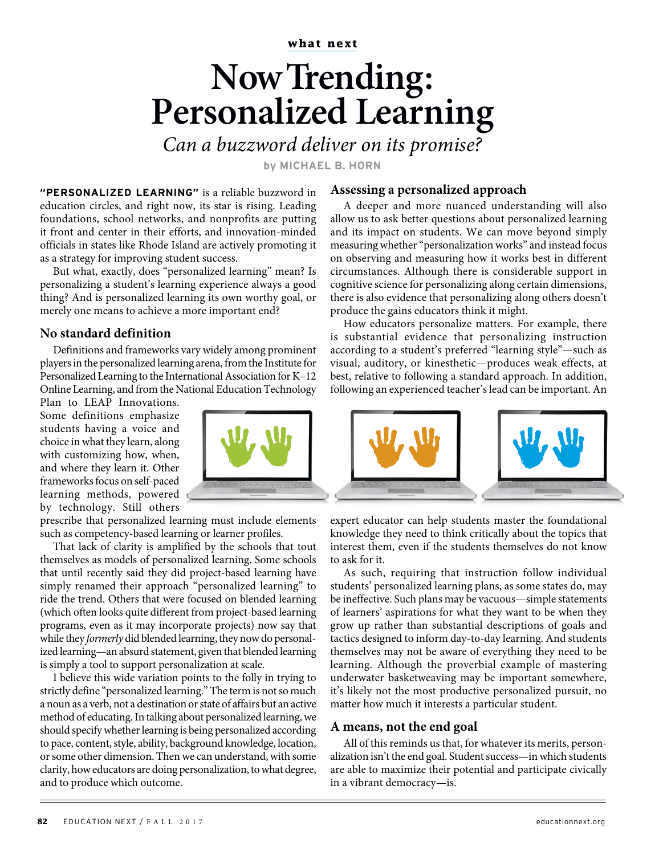**what next**

## **Now Trending: Personalized Learning**

Can a buzzword deliver on its promise?

**by MICHAEL B. HORN**

**"PERSONALIZED LEARNING"** is a reliable buzzword in education circles, and right now, its star is rising. Leading foundations, school networks, and nonprofits are putting it front and center in their efforts, and innovation-minded officials in states like Rhode Island are actively promoting it as a strategy for improving student success.

But what, exactly, does "personalized learning" mean? Is personalizing a student's learning experience always a good thing? And is personalized learning its own worthy goal, or merely one means to achieve a more important end?

## **No standard definition**

Definitions and frameworks vary widely among prominent players in the personalized learning arena, from the Institute for Personalized Learning to the International Association for K–12 Online Learning, and from the National Education Technology

Plan to LEAP Innovations. Some definitions emphasize students having a voice and choice in what they learn, along with customizing how, when, and where they learn it. Other frameworks focus on self-paced learning methods, powered by technology. Still others

prescribe that personalized learning must include elements such as competency-based learning or learner profiles.

That lack of clarity is amplified by the schools that tout themselves as models of personalized learning. Some schools that until recently said they did project-based learning have simply renamed their approach "personalized learning" to ride the trend. Others that were focused on blended learning (which often looks quite different from project-based learning programs, even as it may incorporate projects) now say that while they formerly did blended learning, they now do personalized learning—an absurd statement, given that blended learning is simply a tool to support personalization at scale.

I believe this wide variation points to the folly in trying to strictly define "personalized learning." The term is not so much a noun as a verb, not a destination or state of affairs but an active method of educating. In talking about personalized learning, we should specify whether learning is being personalized according to pace, content, style, ability, background knowledge, location, or some other dimension. Then we can understand, with some clarity, how educators are doing personalization, to what degree, and to produce which outcome.

## **Assessing a personalized approach**

A deeper and more nuanced understanding will also allow us to ask better questions about personalized learning and its impact on students. We can move beyond simply measuring whether "personalization works" and instead focus on observing and measuring how it works best in different circumstances. Although there is considerable support in cognitive science for personalizing along certain dimensions, there is also evidence that personalizing along others doesn't produce the gains educators think it might.

How educators personalize matters. For example, there is substantial evidence that personalizing instruction according to a student's preferred "learning style"—such as visual, auditory, or kinesthetic—produces weak effects, at best, relative to following a standard approach. In addition, following an experienced teacher's lead can be important. An



expert educator can help students master the foundational knowledge they need to think critically about the topics that interest them, even if the students themselves do not know to ask for it.

As such, requiring that instruction follow individual students' personalized learning plans, as some states do, may be ineffective. Such plans may be vacuous—simple statements of learners' aspirations for what they want to be when they grow up rather than substantial descriptions of goals and tactics designed to inform day-to-day learning. And students themselves may not be aware of everything they need to be learning. Although the proverbial example of mastering underwater basketweaving may be important somewhere, it's likely not the most productive personalized pursuit, no matter how much it interests a particular student.

## **A means, not the end goal**

All of this reminds us that, for whatever its merits, personalization isn't the end goal. Student success—in which students are able to maximize their potential and participate civically in a vibrant democracy—is.